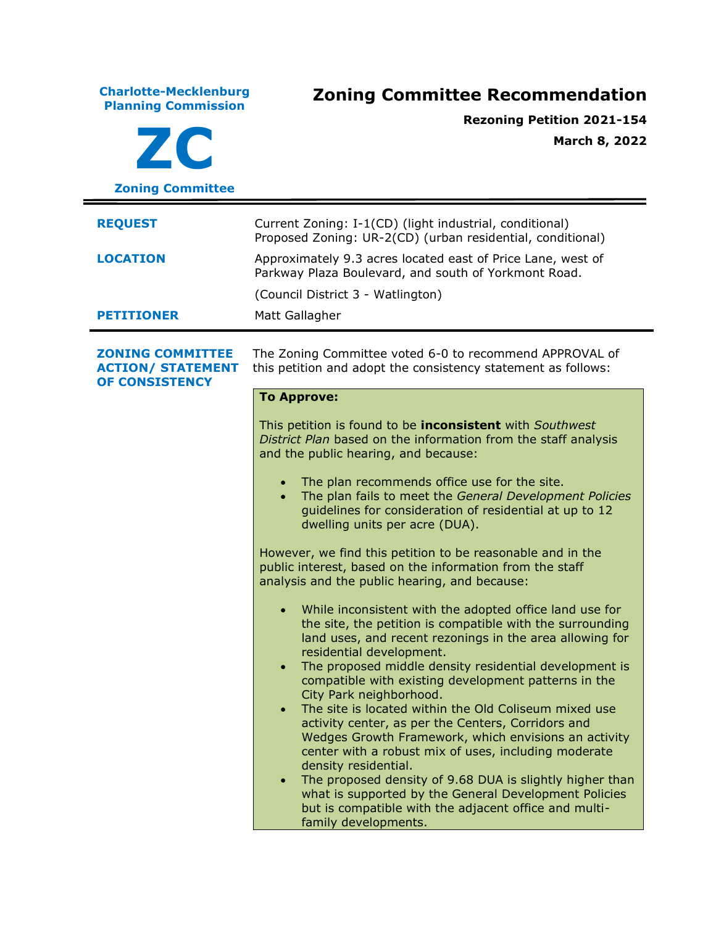**Charlotte-Mecklenburg Planning Commission Zoning Committee Recommendation ZC Zoning Committee Rezoning Petition 2021-154 March 8, 2022 REQUEST** Current Zoning: I-1(CD) (light industrial, conditional) Proposed Zoning: UR-2(CD) (urban residential, conditional) **LOCATION** Approximately 9.3 acres located east of Price Lane, west of Parkway Plaza Boulevard, and south of Yorkmont Road. (Council District 3 - Watlington) **PETITIONER** Matt Gallagher **ZONING COMMITTEE ACTION/ STATEMENT OF CONSISTENCY** The Zoning Committee voted 6-0 to recommend APPROVAL of this petition and adopt the consistency statement as follows: **To Approve:** This petition is found to be **inconsistent** with *Southwest District Plan* based on the information from the staff analysis and the public hearing, and because: • The plan recommends office use for the site. • The plan fails to meet the *General Development Policies* guidelines for consideration of residential at up to 12 dwelling units per acre (DUA). However, we find this petition to be reasonable and in the public interest, based on the information from the staff analysis and the public hearing, and because: • While inconsistent with the adopted office land use for the site, the petition is compatible with the surrounding land uses, and recent rezonings in the area allowing for residential development. • The proposed middle density residential development is compatible with existing development patterns in the City Park neighborhood. • The site is located within the Old Coliseum mixed use activity center, as per the Centers, Corridors and Wedges Growth Framework, which envisions an activity center with a robust mix of uses, including moderate density residential. The proposed density of 9.68 DUA is slightly higher than what is supported by the General Development Policies but is compatible with the adjacent office and multifamily developments.